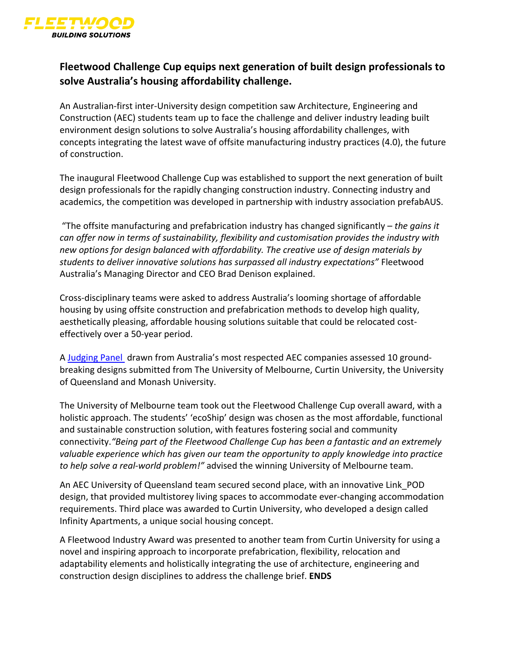

## **Fleetwood Challenge Cup equips next generation of built design professionals to solve Australia's housing affordability challenge.**

An Australian-first inter-University design competition saw Architecture, Engineering and Construction (AEC) students team up to face the challenge and deliver industry leading built environment design solutions to solve Australia's housing affordability challenges, with concepts integrating the latest wave of offsite manufacturing industry practices (4.0), the future of construction.

The inaugural Fleetwood Challenge Cup was established to support the next generation of built design professionals for the rapidly changing construction industry. Connecting industry and academics, the competition was developed in partnership with industry association prefabAUS.

"The offsite manufacturing and prefabrication industry has changed significantly – *the gains it can offer now in terms of sustainability, flexibility and customisation provides the industry with new options for design balanced with affordability. The creative use of design materials by students to deliver innovative solutions has surpassed all industry expectations"* Fleetwood Australia's Managing Director and CEO Brad Denison explained.

Cross-disciplinary teams were asked to address Australia's looming shortage of affordable housing by using offsite construction and prefabrication methods to develop high quality, aesthetically pleasing, affordable housing solutions suitable that could be relocated costeffectively over a 50-year period.

A Judging Panel drawn from Australia's most respected AEC companies assessed 10 groundbreaking designs submitted from The University of Melbourne, Curtin University, the University of Queensland and Monash University.

The University of Melbourne team took out the Fleetwood Challenge Cup overall award, with a holistic approach. The students' 'ecoShip' design was chosen as the most affordable, functional and sustainable construction solution, with features fostering social and community connectivity.*"Being part of the Fleetwood Challenge Cup has been a fantastic and an extremely valuable experience which has given our team the opportunity to apply knowledge into practice to help solve a real-world problem!"* advised the winning University of Melbourne team.

An AEC University of Queensland team secured second place, with an innovative Link\_POD design, that provided multistorey living spaces to accommodate ever-changing accommodation requirements. Third place was awarded to Curtin University, who developed a design called Infinity Apartments, a unique social housing concept.

A Fleetwood Industry Award was presented to another team from Curtin University for using a novel and inspiring approach to incorporate prefabrication, flexibility, relocation and adaptability elements and holistically integrating the use of architecture, engineering and construction design disciplines to address the challenge brief. **ENDS**